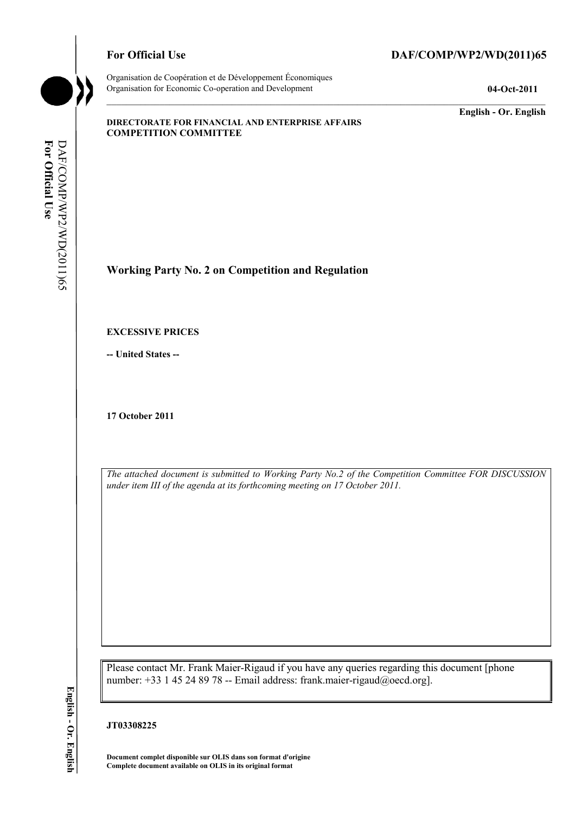

#### For Official Use DAF/COMP/WP2/WD(2011)65

**English - Or. English** 

#### **DIRECTORATE FOR FINANCIAL AND ENTERPRISE AFFAIRS COMPETITION COMMITTEE**

**Working Party No. 2 on Competition and Regulation** 

#### **EXCESSIVE PRICES**

**-- United States --** 

**17 October 2011** 

*The attached document is submitted to Working Party No.2 of the Competition Committee FOR DISCUSSION under item III of the agenda at its forthcoming meeting on 17 October 2011.* 

Please contact Mr. Frank Maier-Rigaud if you have any queries regarding this document [phone number: +33 1 45 24 89 78 -- Email address: frank.maier-rigaud@oecd.org].

#### **JT03308225**

**Document complet disponible sur OLIS dans son format d'origine Complete document available on OLIS in its original format**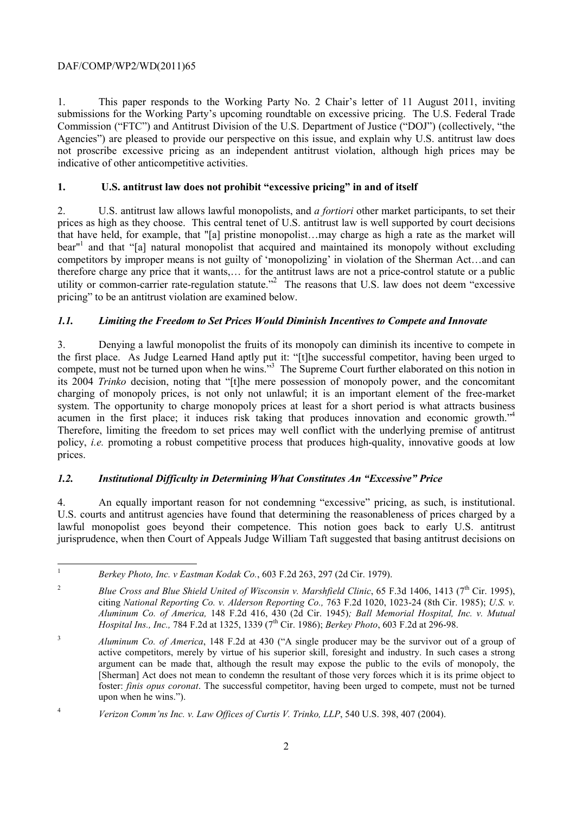1. This paper responds to the Working Party No. 2 Chair's letter of 11 August 2011, inviting submissions for the Working Party's upcoming roundtable on excessive pricing. The U.S. Federal Trade Commission ("FTC") and Antitrust Division of the U.S. Department of Justice ("DOJ") (collectively, "the Agencies") are pleased to provide our perspective on this issue, and explain why U.S. antitrust law does not proscribe excessive pricing as an independent antitrust violation, although high prices may be indicative of other anticompetitive activities.

# **1. U.S. antitrust law does not prohibit "excessive pricing" in and of itself**

2. U.S. antitrust law allows lawful monopolists, and *a fortiori* other market participants, to set their prices as high as they choose. This central tenet of U.S. antitrust law is well supported by court decisions that have held, for example, that "[a] pristine monopolist…may charge as high a rate as the market will bear<sup>"1</sup> and that "[a] natural monopolist that acquired and maintained its monopoly without excluding competitors by improper means is not guilty of 'monopolizing' in violation of the Sherman Act…and can therefore charge any price that it wants,… for the antitrust laws are not a price-control statute or a public utility or common-carrier rate-regulation statute."<sup>2</sup> The reasons that U.S. law does not deem "excessive pricing" to be an antitrust violation are examined below.

# *1.1. Limiting the Freedom to Set Prices Would Diminish Incentives to Compete and Innovate*

3. Denying a lawful monopolist the fruits of its monopoly can diminish its incentive to compete in the first place. As Judge Learned Hand aptly put it: "[t]he successful competitor, having been urged to compete, must not be turned upon when he wins."<sup>3</sup> The Supreme Court further elaborated on this notion in its 2004 *Trinko* decision, noting that "[t]he mere possession of monopoly power, and the concomitant charging of monopoly prices, is not only not unlawful; it is an important element of the free-market system. The opportunity to charge monopoly prices at least for a short period is what attracts business acumen in the first place; it induces risk taking that produces innovation and economic growth."<sup>4</sup> Therefore, limiting the freedom to set prices may well conflict with the underlying premise of antitrust policy, *i.e.* promoting a robust competitive process that produces high-quality, innovative goods at low prices.

## *1.2. Institutional Difficulty in Determining What Constitutes An "Excessive" Price*

4. An equally important reason for not condemning "excessive" pricing, as such, is institutional. U.S. courts and antitrust agencies have found that determining the reasonableness of prices charged by a lawful monopolist goes beyond their competence. This notion goes back to early U.S. antitrust jurisprudence, when then Court of Appeals Judge William Taft suggested that basing antitrust decisions on

 $\mathbf{1}$ <sup>1</sup>*Berkey Photo, Inc. v Eastman Kodak Co.*, 603 F.2d 263, 297 (2d Cir. 1979).

<sup>&</sup>lt;sup>2</sup> Blue Cross and Blue Shield United of Wisconsin v. Marshfield Clinic, 65 F.3d 1406, 1413 (7<sup>th</sup> Cir. 1995), citing *National Reporting Co. v. Alderson Reporting Co.,* 763 F.2d 1020, 1023-24 (8th Cir. 1985); *U.S. v. Aluminum Co. of America,* 148 F.2d 416, 430 (2d Cir. 1945)*; Ball Memorial Hospital, Inc. v. Mutual Hospital Ins., Inc., 784 F.2d at 1325, 1339 (7<sup>th</sup> Cir. 1986); <i>Berkey Photo*, 603 F.2d at 296-98.

<sup>3</sup>*Aluminum Co. of America*, 148 F.2d at 430 ("A single producer may be the survivor out of a group of active competitors, merely by virtue of his superior skill, foresight and industry. In such cases a strong argument can be made that, although the result may expose the public to the evils of monopoly, the [Sherman] Act does not mean to condemn the resultant of those very forces which it is its prime object to foster: *finis opus coronat*. The successful competitor, having been urged to compete, must not be turned upon when he wins.").

<sup>4</sup>*Verizon Comm'ns Inc. v. Law Offices of Curtis V. Trinko, LLP*, 540 U.S. 398, 407 (2004).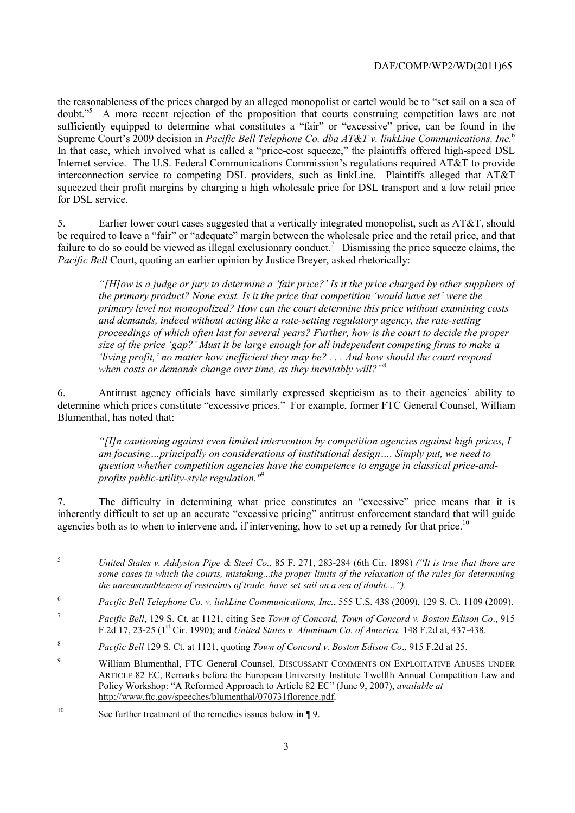the reasonableness of the prices charged by an alleged monopolist or cartel would be to "set sail on a sea of doubt."<sup>5</sup> A more recent rejection of the proposition that courts construing competition laws are not sufficiently equipped to determine what constitutes a "fair" or "excessive" price, can be found in the Supreme Court's 2009 decision in *Pacific Bell Telephone Co. dba AT&T v. linkLine Communications, Inc.*<sup>6</sup> In that case, which involved what is called a "price-cost squeeze," the plaintiffs offered high-speed DSL Internet service. The U.S. Federal Communications Commission's regulations required AT&T to provide interconnection service to competing DSL providers, such as linkLine. Plaintiffs alleged that AT&T squeezed their profit margins by charging a high wholesale price for DSL transport and a low retail price for DSL service.

5. Earlier lower court cases suggested that a vertically integrated monopolist, such as AT&T, should be required to leave a "fair" or "adequate" margin between the wholesale price and the retail price, and that failure to do so could be viewed as illegal exclusionary conduct.<sup>7</sup> Dismissing the price squeeze claims, the *Pacific Bell* Court, quoting an earlier opinion by Justice Breyer, asked rhetorically:

*"[H]ow is a judge or jury to determine a 'fair price?' Is it the price charged by other suppliers of the primary product? None exist. Is it the price that competition 'would have set' were the primary level not monopolized? How can the court determine this price without examining costs and demands, indeed without acting like a rate-setting regulatory agency, the rate-setting proceedings of which often last for several years? Further, how is the court to decide the proper size of the price 'gap?' Must it be large enough for all independent competing firms to make a 'living profit,' no matter how inefficient they may be? . . . And how should the court respond when costs or demands change over time, as they inevitably will?"*<sup>8</sup>

6. Antitrust agency officials have similarly expressed skepticism as to their agencies' ability to determine which prices constitute "excessive prices." For example, former FTC General Counsel, William Blumenthal, has noted that:

*"[I]n cautioning against even limited intervention by competition agencies against high prices, I am focusing…principally on considerations of institutional design…. Simply put, we need to question whether competition agencies have the competence to engage in classical price-andprofits public-utility-style regulation."*<sup>9</sup>

7. The difficulty in determining what price constitutes an "excessive" price means that it is inherently difficult to set up an accurate "excessive pricing" antitrust enforcement standard that will guide agencies both as to when to intervene and, if intervening, how to set up a remedy for that price.<sup>10</sup>

 $\frac{1}{5}$  *United States v. Addyston Pipe & Steel Co.,* 85 F. 271, 283-284 (6th Cir. 1898) *("It is true that there are some cases in which the courts, mistaking...the proper limits of the relaxation of the rules for determining the unreasonableness of restraints of trade, have set sail on a sea of doubt....").* 

<sup>6</sup>  *Pacific Bell Telephone Co. v. linkLine Communications, Inc.*, 555 U.S. 438 (2009), 129 S. Ct. 1109 (2009).

<sup>7</sup> *Pacific Bell*, 129 S. Ct. at 1121, citing See *Town of Concord, Town of Concord v. Boston Edison Co*., 915 F.2d 17, 23-25 (1st Cir. 1990); and *United States v. Aluminum Co. of America,* 148 F.2d at, 437-438.

<sup>8</sup> *Pacific Bell* 129 S. Ct. at 1121, quoting *Town of Concord v. Boston Edison Co*., 915 F.2d at 25.

 $\overline{9}$  William Blumenthal, FTC General Counsel, DISCUSSANT COMMENTS ON EXPLOITATIVE ABUSES UNDER ARTICLE 82 EC, Remarks before the European University Institute Twelfth Annual Competition Law and Policy Workshop: "A Reformed Approach to Article 82 EC" (June 9, 2007), *available at* http://www.ftc.gov/speeches/blumenthal/070731florence.pdf.

<sup>&</sup>lt;sup>10</sup> See further treatment of the remedies issues below in ¶ 9.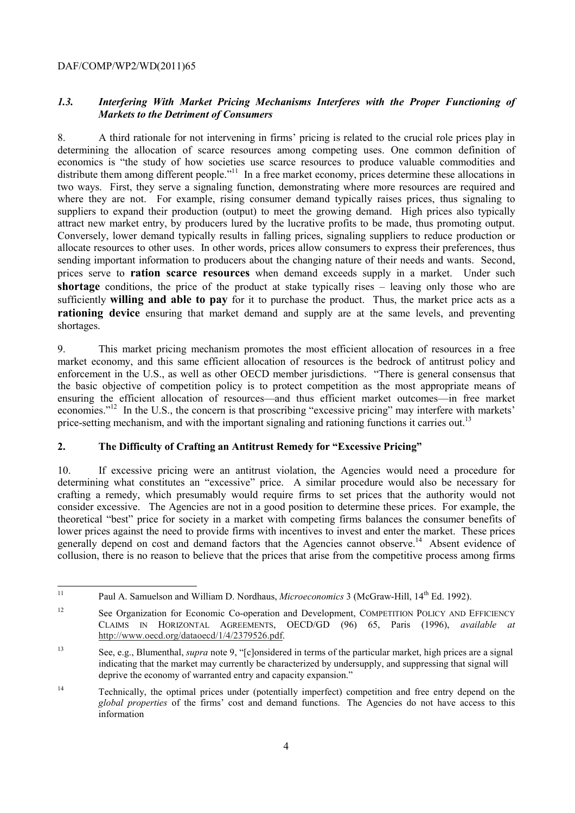## *1.3. Interfering With Market Pricing Mechanisms Interferes with the Proper Functioning of Markets to the Detriment of Consumers*

8. A third rationale for not intervening in firms' pricing is related to the crucial role prices play in determining the allocation of scarce resources among competing uses. One common definition of economics is "the study of how societies use scarce resources to produce valuable commodities and distribute them among different people."<sup>11</sup> In a free market economy, prices determine these allocations in two ways. First, they serve a signaling function, demonstrating where more resources are required and where they are not. For example, rising consumer demand typically raises prices, thus signaling to suppliers to expand their production (output) to meet the growing demand. High prices also typically attract new market entry, by producers lured by the lucrative profits to be made, thus promoting output. Conversely, lower demand typically results in falling prices, signaling suppliers to reduce production or allocate resources to other uses. In other words, prices allow consumers to express their preferences, thus sending important information to producers about the changing nature of their needs and wants. Second, prices serve to **ration scarce resources** when demand exceeds supply in a market. Under such **shortage** conditions, the price of the product at stake typically rises – leaving only those who are sufficiently **willing and able to pay** for it to purchase the product. Thus, the market price acts as a **rationing device** ensuring that market demand and supply are at the same levels, and preventing shortages.

9. This market pricing mechanism promotes the most efficient allocation of resources in a free market economy, and this same efficient allocation of resources is the bedrock of antitrust policy and enforcement in the U.S., as well as other OECD member jurisdictions. "There is general consensus that the basic objective of competition policy is to protect competition as the most appropriate means of ensuring the efficient allocation of resources—and thus efficient market outcomes—in free market economies."12 In the U.S., the concern is that proscribing "excessive pricing" may interfere with markets' price-setting mechanism, and with the important signaling and rationing functions it carries out.<sup>13</sup>

## **2. The Difficulty of Crafting an Antitrust Remedy for "Excessive Pricing"**

10. If excessive pricing were an antitrust violation, the Agencies would need a procedure for determining what constitutes an "excessive" price. A similar procedure would also be necessary for crafting a remedy, which presumably would require firms to set prices that the authority would not consider excessive. The Agencies are not in a good position to determine these prices. For example, the theoretical "best" price for society in a market with competing firms balances the consumer benefits of lower prices against the need to provide firms with incentives to invest and enter the market. These prices generally depend on cost and demand factors that the Agencies cannot observe.<sup>14</sup> Absent evidence of collusion, there is no reason to believe that the prices that arise from the competitive process among firms

 $11$ Paul A. Samuelson and William D. Nordhaus, *Microeconomics* 3 (McGraw-Hill, 14<sup>th</sup> Ed. 1992).

<sup>&</sup>lt;sup>12</sup> See Organization for Economic Co-operation and Development, COMPETITION POLICY AND EFFICIENCY CLAIMS IN HORIZONTAL AGREEMENTS, OECD/GD (96) 65, Paris (1996), *available at* http://www.oecd.org/dataoecd/1/4/2379526.pdf.

<sup>13</sup> See, e.g., Blumenthal, *supra* note 9, "[c]onsidered in terms of the particular market, high prices are a signal indicating that the market may currently be characterized by undersupply, and suppressing that signal will deprive the economy of warranted entry and capacity expansion."

<sup>&</sup>lt;sup>14</sup> Technically, the optimal prices under (potentially imperfect) competition and free entry depend on the *global properties* of the firms' cost and demand functions. The Agencies do not have access to this information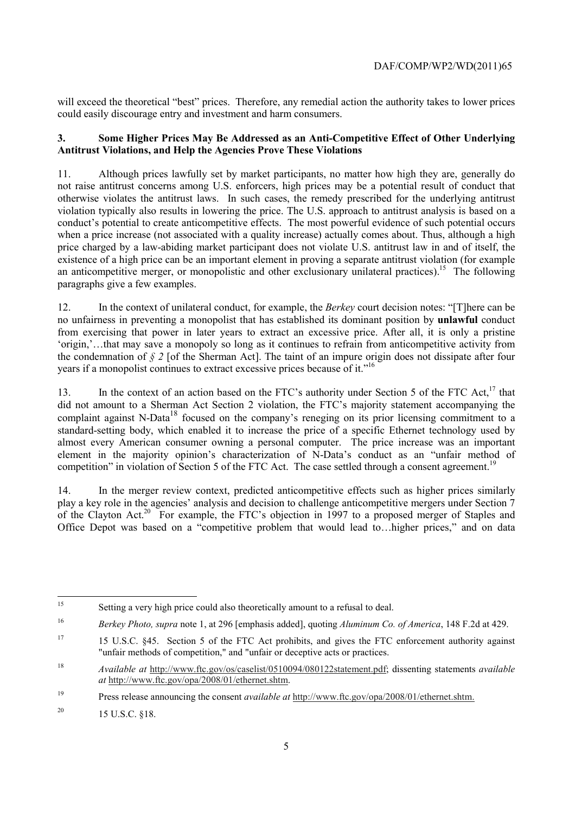will exceed the theoretical "best" prices. Therefore, any remedial action the authority takes to lower prices could easily discourage entry and investment and harm consumers.

## **3. Some Higher Prices May Be Addressed as an Anti-Competitive Effect of Other Underlying Antitrust Violations, and Help the Agencies Prove These Violations**

11. Although prices lawfully set by market participants, no matter how high they are, generally do not raise antitrust concerns among U.S. enforcers, high prices may be a potential result of conduct that otherwise violates the antitrust laws. In such cases, the remedy prescribed for the underlying antitrust violation typically also results in lowering the price. The U.S. approach to antitrust analysis is based on a conduct's potential to create anticompetitive effects. The most powerful evidence of such potential occurs when a price increase (not associated with a quality increase) actually comes about. Thus, although a high price charged by a law-abiding market participant does not violate U.S. antitrust law in and of itself, the existence of a high price can be an important element in proving a separate antitrust violation (for example an anticompetitive merger, or monopolistic and other exclusionary unilateral practices).<sup>15</sup> The following paragraphs give a few examples.

12. In the context of unilateral conduct, for example, the *Berkey* court decision notes: "[T]here can be no unfairness in preventing a monopolist that has established its dominant position by **unlawful** conduct from exercising that power in later years to extract an excessive price. After all, it is only a pristine 'origin,'…that may save a monopoly so long as it continues to refrain from anticompetitive activity from the condemnation of  $\frac{6}{5}$  *z* [of the Sherman Act]. The taint of an impure origin does not dissipate after four years if a monopolist continues to extract excessive prices because of it."16

13. In the context of an action based on the FTC's authority under Section 5 of the FTC Act,<sup>17</sup> that did not amount to a Sherman Act Section 2 violation, the FTC's majority statement accompanying the complaint against N-Data<sup>18</sup> focused on the company's reneging on its prior licensing commitment to a standard-setting body, which enabled it to increase the price of a specific Ethernet technology used by almost every American consumer owning a personal computer. The price increase was an important element in the majority opinion's characterization of N-Data's conduct as an "unfair method of competition" in violation of Section 5 of the FTC Act. The case settled through a consent agreement.<sup>19</sup>

14. In the merger review context, predicted anticompetitive effects such as higher prices similarly play a key role in the agencies' analysis and decision to challenge anticompetitive mergers under Section 7 of the Clayton Act.<sup>20</sup> For example, the FTC's objection in 1997 to a proposed merger of Staples and Office Depot was based on a "competitive problem that would lead to…higher prices," and on data

19 Press release announcing the consent *available at* http://www.ftc.gov/opa/2008/01/ethernet.shtm.

<sup>20</sup> 15 U.S.C.  $$18$ .

 $15$ Setting a very high price could also theoretically amount to a refusal to deal.

<sup>16</sup> *Berkey Photo, supra* note 1, at 296 [emphasis added], quoting *Aluminum Co. of America*, 148 F.2d at 429.

<sup>&</sup>lt;sup>17</sup> 15 U.S.C. §45. Section 5 of the FTC Act prohibits, and gives the FTC enforcement authority against "unfair methods of competition," and "unfair or deceptive acts or practices.

<sup>18</sup> *Available at* http://www.ftc.gov/os/caselist/0510094/080122statement.pdf; dissenting statements *available at* http://www.ftc.gov/opa/2008/01/ethernet.shtm.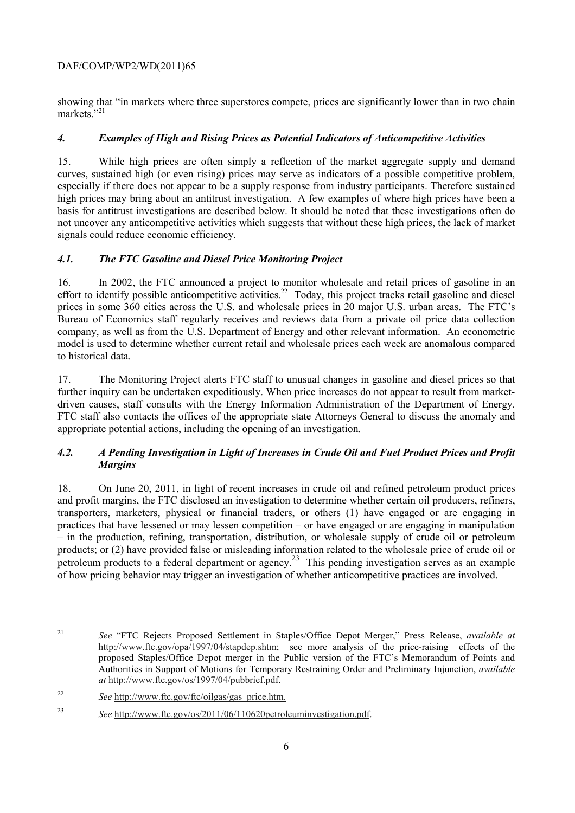showing that "in markets where three superstores compete, prices are significantly lower than in two chain markets."21

## *4. Examples of High and Rising Prices as Potential Indicators of Anticompetitive Activities*

15. While high prices are often simply a reflection of the market aggregate supply and demand curves, sustained high (or even rising) prices may serve as indicators of a possible competitive problem, especially if there does not appear to be a supply response from industry participants. Therefore sustained high prices may bring about an antitrust investigation. A few examples of where high prices have been a basis for antitrust investigations are described below. It should be noted that these investigations often do not uncover any anticompetitive activities which suggests that without these high prices, the lack of market signals could reduce economic efficiency.

# *4.1. The FTC Gasoline and Diesel Price Monitoring Project*

16. In 2002, the FTC announced a project to monitor wholesale and retail prices of gasoline in an effort to identify possible anticompetitive activities.<sup>22</sup> Today, this project tracks retail gasoline and diesel prices in some 360 cities across the U.S. and wholesale prices in 20 major U.S. urban areas. The FTC's Bureau of Economics staff regularly receives and reviews data from a private oil price data collection company, as well as from the U.S. Department of Energy and other relevant information. An econometric model is used to determine whether current retail and wholesale prices each week are anomalous compared to historical data.

17. The Monitoring Project alerts FTC staff to unusual changes in gasoline and diesel prices so that further inquiry can be undertaken expeditiously. When price increases do not appear to result from marketdriven causes, staff consults with the Energy Information Administration of the Department of Energy. FTC staff also contacts the offices of the appropriate state Attorneys General to discuss the anomaly and appropriate potential actions, including the opening of an investigation.

## *4.2. A Pending Investigation in Light of Increases in Crude Oil and Fuel Product Prices and Profit Margins*

18. On June 20, 2011, in light of recent increases in crude oil and refined petroleum product prices and profit margins, the FTC disclosed an investigation to determine whether certain oil producers, refiners, transporters, marketers, physical or financial traders, or others (1) have engaged or are engaging in practices that have lessened or may lessen competition – or have engaged or are engaging in manipulation – in the production, refining, transportation, distribution, or wholesale supply of crude oil or petroleum products; or (2) have provided false or misleading information related to the wholesale price of crude oil or petroleum products to a federal department or agency.23 This pending investigation serves as an example of how pricing behavior may trigger an investigation of whether anticompetitive practices are involved.

 $21$ 21 *See* "FTC Rejects Proposed Settlement in Staples/Office Depot Merger," Press Release, *available at* http://www.ftc.gov/opa/1997/04/stapdep.shtm; see more analysis of the price-raising effects of the proposed Staples/Office Depot merger in the Public version of the FTC's Memorandum of Points and Authorities in Support of Motions for Temporary Restraining Order and Preliminary Injunction, *available at* http://www.ftc.gov/os/1997/04/pubbrief.pdf.

<sup>22</sup> *See* http://www.ftc.gov/ftc/oilgas/gas\_price.htm.

<sup>23</sup> *See* http://www.ftc.gov/os/2011/06/110620petroleuminvestigation.pdf.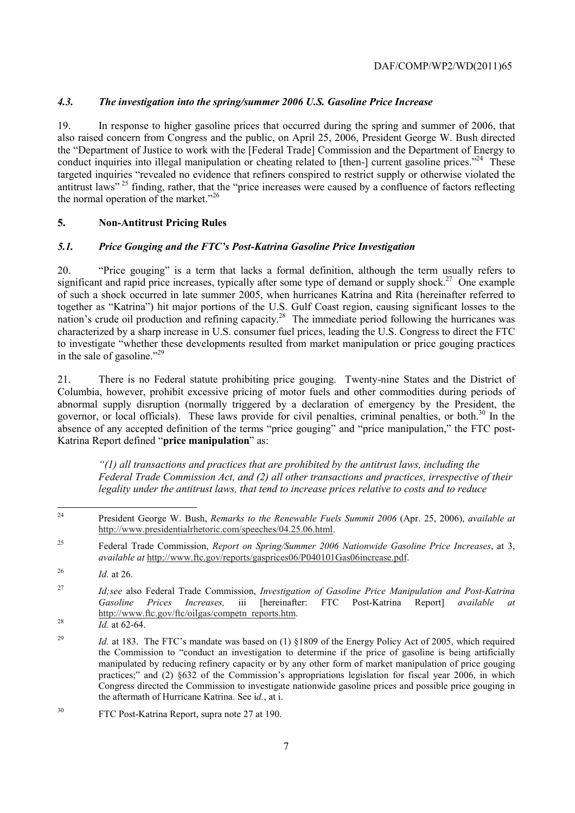## *4.3. The investigation into the spring/summer 2006 U.S. Gasoline Price Increase*

19. In response to higher gasoline prices that occurred during the spring and summer of 2006, that also raised concern from Congress and the public, on April 25, 2006, President George W. Bush directed the "Department of Justice to work with the [Federal Trade] Commission and the Department of Energy to conduct inquiries into illegal manipulation or cheating related to [then-] current gasoline prices."<sup>24</sup> These targeted inquiries "revealed no evidence that refiners conspired to restrict supply or otherwise violated the antitrust laws" 25 finding, rather, that the "price increases were caused by a confluence of factors reflecting the normal operation of the market."<sup>26</sup>

## **5. Non-Antitrust Pricing Rules**

#### *5.1. Price Gouging and the FTC's Post-Katrina Gasoline Price Investigation*

20. "Price gouging" is a term that lacks a formal definition, although the term usually refers to significant and rapid price increases, typically after some type of demand or supply shock.<sup>27</sup> One example of such a shock occurred in late summer 2005, when hurricanes Katrina and Rita (hereinafter referred to together as "Katrina") hit major portions of the U.S. Gulf Coast region, causing significant losses to the nation's crude oil production and refining capacity.<sup>28</sup> The immediate period following the hurricanes was characterized by a sharp increase in U.S. consumer fuel prices, leading the U.S. Congress to direct the FTC to investigate "whether these developments resulted from market manipulation or price gouging practices in the sale of gasoline."29

21. There is no Federal statute prohibiting price gouging. Twenty-nine States and the District of Columbia, however, prohibit excessive pricing of motor fuels and other commodities during periods of abnormal supply disruption (normally triggered by a declaration of emergency by the President, the governor, or local officials). These laws provide for civil penalties, criminal penalties, or both. $30$  In the absence of any accepted definition of the terms "price gouging" and "price manipulation," the FTC post-Katrina Report defined "**price manipulation**" as:

*"(1) all transactions and practices that are prohibited by the antitrust laws, including the Federal Trade Commission Act, and (2) all other transactions and practices, irrespective of their legality under the antitrust laws, that tend to increase prices relative to costs and to reduce* 

 $\overline{24}$ 24 President George W. Bush, *Remarks to the Renewable Fuels Summit 2006* (Apr. 25, 2006), *available at*  http://www.presidentialrhetoric.com/speeches/04.25.06.html.

<sup>25</sup> Federal Trade Commission, *Report on Spring/Summer 2006 Nationwide Gasoline Price Increases*, at 3, *available at* http://www.ftc.gov/reports/gasprices06/P040101Gas06increase.pdf.

<sup>26</sup> *Id.* at 26.

<sup>27</sup> *Id;see* also Federal Trade Commission, *Investigation of Gasoline Price Manipulation and Post-Katrina Gasoline Prices Increases,* iii [hereinafter: FTC Post-Katrina Report] *available at* http://www.ftc.gov/ftc/oilgas/competn\_reports.htm. <sup>28</sup>*Id.* at 62-64.

<sup>&</sup>lt;sup>29</sup> *Id.* at 183. The FTC's mandate was based on (1) §1809 of the Energy Policy Act of 2005, which required the Commission to "conduct an investigation to determine if the price of gasoline is being artificially manipulated by reducing refinery capacity or by any other form of market manipulation of price gouging practices;" and (2) §632 of the Commission's appropriations legislation for fiscal year 2006, in which Congress directed the Commission to investigate nationwide gasoline prices and possible price gouging in the aftermath of Hurricane Katrina. See i*d.*, at i.

<sup>30</sup> FTC Post-Katrina Report, supra note 27 at 190.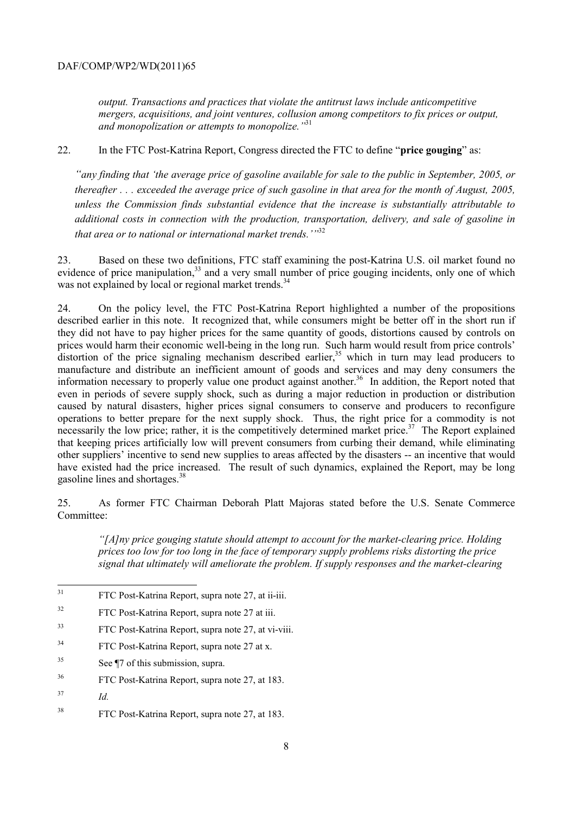*output. Transactions and practices that violate the antitrust laws include anticompetitive mergers, acquisitions, and joint ventures, collusion among competitors to fix prices or output, and monopolization or attempts to monopolize."*<sup>31</sup>

22. In the FTC Post-Katrina Report, Congress directed the FTC to define "**price gouging**" as:

*"any finding that 'the average price of gasoline available for sale to the public in September, 2005, or thereafter . . . exceeded the average price of such gasoline in that area for the month of August, 2005, unless the Commission finds substantial evidence that the increase is substantially attributable to additional costs in connection with the production, transportation, delivery, and sale of gasoline in*  that area or to national or international market trends.'"<sup>32</sup>

23. Based on these two definitions, FTC staff examining the post-Katrina U.S. oil market found no evidence of price manipulation,<sup>33</sup> and a very small number of price gouging incidents, only one of which was not explained by local or regional market trends.<sup>34</sup>

24. On the policy level, the FTC Post-Katrina Report highlighted a number of the propositions described earlier in this note. It recognized that, while consumers might be better off in the short run if they did not have to pay higher prices for the same quantity of goods, distortions caused by controls on prices would harm their economic well-being in the long run. Such harm would result from price controls' distortion of the price signaling mechanism described earlier,<sup>35</sup> which in turn may lead producers to manufacture and distribute an inefficient amount of goods and services and may deny consumers the information necessary to properly value one product against another.<sup>36</sup> In addition, the Report noted that even in periods of severe supply shock, such as during a major reduction in production or distribution caused by natural disasters, higher prices signal consumers to conserve and producers to reconfigure operations to better prepare for the next supply shock. Thus, the right price for a commodity is not necessarily the low price; rather, it is the competitively determined market price.<sup>37</sup> The Report explained that keeping prices artificially low will prevent consumers from curbing their demand, while eliminating other suppliers' incentive to send new supplies to areas affected by the disasters -- an incentive that would have existed had the price increased. The result of such dynamics, explained the Report, may be long gasoline lines and shortages.<sup>38</sup>

25. As former FTC Chairman Deborah Platt Majoras stated before the U.S. Senate Commerce Committee:

*"[A]ny price gouging statute should attempt to account for the market-clearing price. Holding prices too low for too long in the face of temporary supply problems risks distorting the price signal that ultimately will ameliorate the problem. If supply responses and the market-clearing* 

- 34 FTC Post-Katrina Report, supra note 27 at x.
- 35 See ¶7 of this submission, supra.
- 36 FTC Post-Katrina Report, supra note 27, at 183.
- 37 *Id.*
- 38 FTC Post-Katrina Report, supra note 27, at 183.

 $31$ 31 FTC Post-Katrina Report, supra note 27, at ii-iii.

<sup>32</sup> FTC Post-Katrina Report, supra note 27 at iii.

<sup>33</sup> FTC Post-Katrina Report, supra note 27, at vi-viii.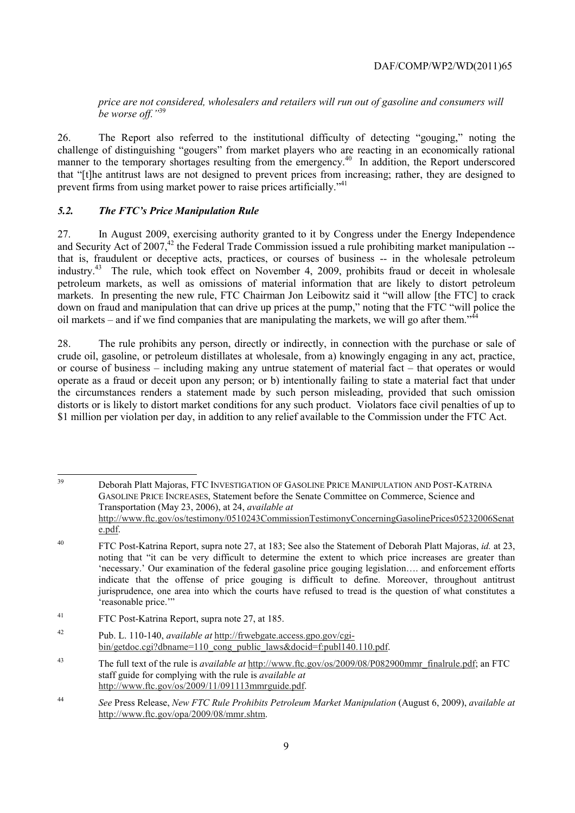*price are not considered, wholesalers and retailers will run out of gasoline and consumers will be worse off."*<sup>39</sup>

26. The Report also referred to the institutional difficulty of detecting "gouging," noting the challenge of distinguishing "gougers" from market players who are reacting in an economically rational manner to the temporary shortages resulting from the emergency.<sup>40</sup> In addition, the Report underscored that "[t]he antitrust laws are not designed to prevent prices from increasing; rather, they are designed to prevent firms from using market power to raise prices artificially."<sup>41</sup>

#### *5.2. The FTC's Price Manipulation Rule*

27. In August 2009, exercising authority granted to it by Congress under the Energy Independence and Security Act of 2007, $42$  the Federal Trade Commission issued a rule prohibiting market manipulation  $$ that is, fraudulent or deceptive acts, practices, or courses of business -- in the wholesale petroleum industry.43 The rule, which took effect on November 4, 2009, prohibits fraud or deceit in wholesale petroleum markets, as well as omissions of material information that are likely to distort petroleum markets. In presenting the new rule, FTC Chairman Jon Leibowitz said it "will allow [the FTC] to crack down on fraud and manipulation that can drive up prices at the pump," noting that the FTC "will police the oil markets – and if we find companies that are manipulating the markets, we will go after them.<sup> $,44$ </sup>

28. The rule prohibits any person, directly or indirectly, in connection with the purchase or sale of crude oil, gasoline, or petroleum distillates at wholesale, from a) knowingly engaging in any act, practice, or course of business – including making any untrue statement of material fact – that operates or would operate as a fraud or deceit upon any person; or b) intentionally failing to state a material fact that under the circumstances renders a statement made by such person misleading, provided that such omission distorts or is likely to distort market conditions for any such product. Violators face civil penalties of up to \$1 million per violation per day, in addition to any relief available to the Commission under the FTC Act.

<sup>39</sup> 39 Deborah Platt Majoras, FTC INVESTIGATION OF GASOLINE PRICE MANIPULATION AND POST-KATRINA GASOLINE PRICE INCREASES, Statement before the Senate Committee on Commerce, Science and Transportation (May 23, 2006), at 24, *available at* http://www.ftc.gov/os/testimony/0510243CommissionTestimonyConcerningGasolinePrices05232006Senat e.pdf.

<sup>40</sup> FTC Post-Katrina Report, supra note 27, at 183; See also the Statement of Deborah Platt Majoras, *id.* at 23, noting that "it can be very difficult to determine the extent to which price increases are greater than 'necessary.' Our examination of the federal gasoline price gouging legislation…. and enforcement efforts indicate that the offense of price gouging is difficult to define. Moreover, throughout antitrust jurisprudence, one area into which the courts have refused to tread is the question of what constitutes a 'reasonable price.'"

<sup>41</sup> FTC Post-Katrina Report, supra note 27, at 185.

<sup>42</sup> Pub. L. 110-140, *available at* http://frwebgate.access.gpo.gov/cgibin/getdoc.cgi?dbname=110\_cong\_public\_laws&docid=f:publ140.110.pdf.

<sup>43</sup> The full text of the rule is *available at* http://www.ftc.gov/os/2009/08/P082900mmr\_finalrule.pdf; an FTC staff guide for complying with the rule is *available at* http://www.ftc.gov/os/2009/11/091113mmrguide.pdf.

<sup>44</sup> *See* Press Release, *New FTC Rule Prohibits Petroleum Market Manipulation* (August 6, 2009), *available at* http://www.ftc.gov/opa/2009/08/mmr.shtm.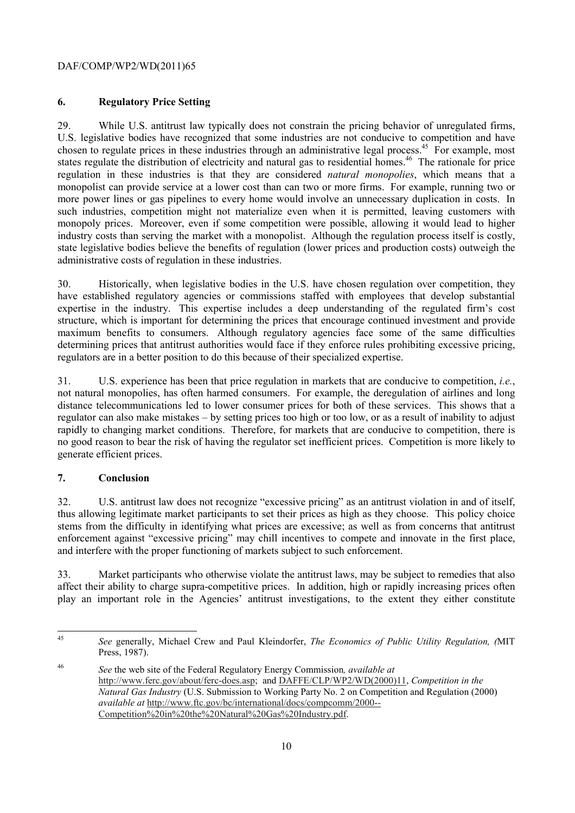## **6. Regulatory Price Setting**

29. While U.S. antitrust law typically does not constrain the pricing behavior of unregulated firms, U.S. legislative bodies have recognized that some industries are not conducive to competition and have chosen to regulate prices in these industries through an administrative legal process.<sup>45</sup> For example, most states regulate the distribution of electricity and natural gas to residential homes.<sup>46</sup> The rationale for price regulation in these industries is that they are considered *natural monopolies*, which means that a monopolist can provide service at a lower cost than can two or more firms. For example, running two or more power lines or gas pipelines to every home would involve an unnecessary duplication in costs. In such industries, competition might not materialize even when it is permitted, leaving customers with monopoly prices. Moreover, even if some competition were possible, allowing it would lead to higher industry costs than serving the market with a monopolist. Although the regulation process itself is costly, state legislative bodies believe the benefits of regulation (lower prices and production costs) outweigh the administrative costs of regulation in these industries.

30. Historically, when legislative bodies in the U.S. have chosen regulation over competition, they have established regulatory agencies or commissions staffed with employees that develop substantial expertise in the industry. This expertise includes a deep understanding of the regulated firm's cost structure, which is important for determining the prices that encourage continued investment and provide maximum benefits to consumers. Although regulatory agencies face some of the same difficulties determining prices that antitrust authorities would face if they enforce rules prohibiting excessive pricing, regulators are in a better position to do this because of their specialized expertise.

31. U.S. experience has been that price regulation in markets that are conducive to competition, *i.e.*, not natural monopolies, has often harmed consumers. For example, the deregulation of airlines and long distance telecommunications led to lower consumer prices for both of these services. This shows that a regulator can also make mistakes – by setting prices too high or too low, or as a result of inability to adjust rapidly to changing market conditions. Therefore, for markets that are conducive to competition, there is no good reason to bear the risk of having the regulator set inefficient prices. Competition is more likely to generate efficient prices.

## **7. Conclusion**

32. U.S. antitrust law does not recognize "excessive pricing" as an antitrust violation in and of itself, thus allowing legitimate market participants to set their prices as high as they choose. This policy choice stems from the difficulty in identifying what prices are excessive; as well as from concerns that antitrust enforcement against "excessive pricing" may chill incentives to compete and innovate in the first place, and interfere with the proper functioning of markets subject to such enforcement.

33. Market participants who otherwise violate the antitrust laws, may be subject to remedies that also affect their ability to charge supra-competitive prices. In addition, high or rapidly increasing prices often play an important role in the Agencies' antitrust investigations, to the extent they either constitute

 $45$ 45 *See* generally, Michael Crew and Paul Kleindorfer, *The Economics of Public Utility Regulation, (*MIT Press, 1987).

<sup>46</sup> *See* the web site of the Federal Regulatory Energy Commission*, available at* http://www.ferc.gov/about/ferc-does.asp; and DAFFE/CLP/WP2/WD(2000)11, *Competition in the Natural Gas Industry* (U.S. Submission to Working Party No. 2 on Competition and Regulation (2000) *available at* http://www.ftc.gov/bc/international/docs/compcomm/2000-- Competition%20in%20the%20Natural%20Gas%20Industry.pdf.